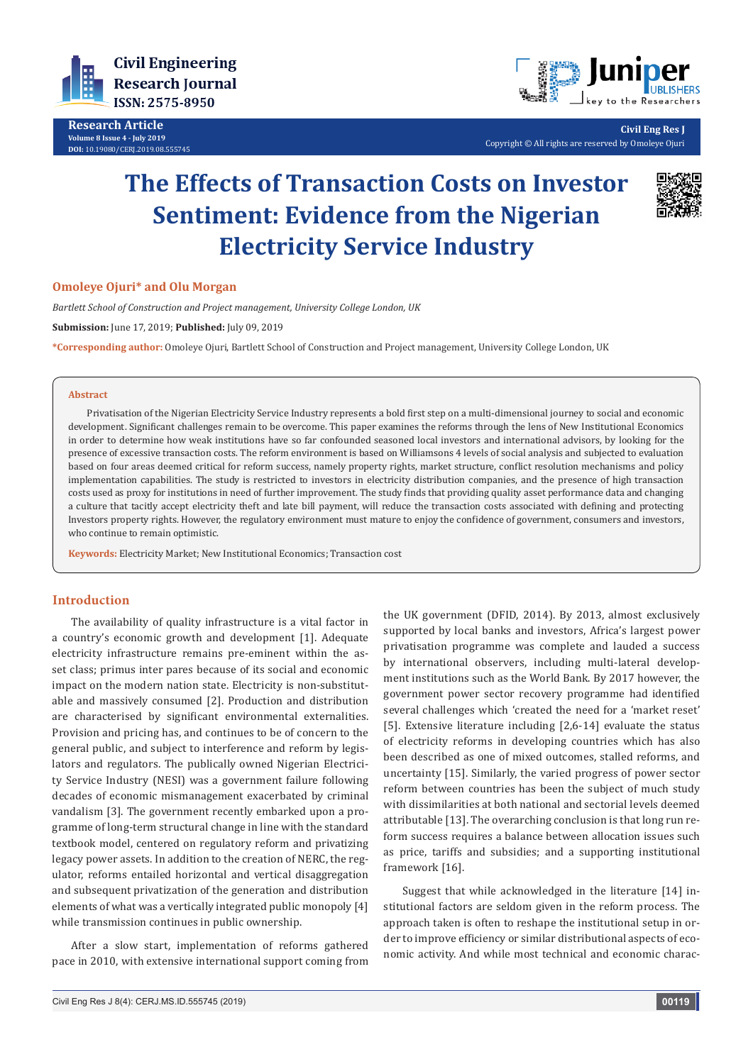

**Research Article Volume 8 Issue 4 - July 2019 DOI:** [10.19080/CERJ.2019.08.555745](http://dx.doi.org/10.19080/CERJ.2019.08.555745)



**Civil Eng Res J** Copyright © All rights are reserved by Omoleye Ojuri

# **The Effects of Transaction Costs on Investor Sentiment: Evidence from the Nigerian Electricity Service Industry**



## **Omoleye Ojuri\* and Olu Morgan**

*Bartlett School of Construction and Project management, University College London, UK*

**Submission:** June 17, 2019; **Published:** July 09, 2019

**\*Corresponding author:** Omoleye Ojuri, Bartlett School of Construction and Project management, University College London, UK

#### **Abstract**

Privatisation of the Nigerian Electricity Service Industry represents a bold first step on a multi-dimensional journey to social and economic development. Significant challenges remain to be overcome. This paper examines the reforms through the lens of New Institutional Economics in order to determine how weak institutions have so far confounded seasoned local investors and international advisors, by looking for the presence of excessive transaction costs. The reform environment is based on Williamsons 4 levels of social analysis and subjected to evaluation based on four areas deemed critical for reform success, namely property rights, market structure, conflict resolution mechanisms and policy implementation capabilities. The study is restricted to investors in electricity distribution companies, and the presence of high transaction costs used as proxy for institutions in need of further improvement. The study finds that providing quality asset performance data and changing a culture that tacitly accept electricity theft and late bill payment, will reduce the transaction costs associated with defining and protecting Investors property rights. However, the regulatory environment must mature to enjoy the confidence of government, consumers and investors, who continue to remain optimistic.

**Keywords:** Electricity Market; New Institutional Economics; Transaction cost

## **Introduction**

The availability of quality infrastructure is a vital factor in a country's economic growth and development [1]. Adequate electricity infrastructure remains pre-eminent within the asset class; primus inter pares because of its social and economic impact on the modern nation state. Electricity is non-substitutable and massively consumed [2]. Production and distribution are characterised by significant environmental externalities. Provision and pricing has, and continues to be of concern to the general public, and subject to interference and reform by legislators and regulators. The publically owned Nigerian Electricity Service Industry (NESI) was a government failure following decades of economic mismanagement exacerbated by criminal vandalism [3]. The government recently embarked upon a programme of long-term structural change in line with the standard textbook model, centered on regulatory reform and privatizing legacy power assets. In addition to the creation of NERC, the regulator, reforms entailed horizontal and vertical disaggregation and subsequent privatization of the generation and distribution elements of what was a vertically integrated public monopoly [4] while transmission continues in public ownership.

After a slow start, implementation of reforms gathered pace in 2010, with extensive international support coming from the UK government (DFID, 2014). By 2013, almost exclusively supported by local banks and investors, Africa's largest power privatisation programme was complete and lauded a success by international observers, including multi-lateral development institutions such as the World Bank. By 2017 however, the government power sector recovery programme had identified several challenges which 'created the need for a 'market reset' [5]. Extensive literature including [2,6-14] evaluate the status of electricity reforms in developing countries which has also been described as one of mixed outcomes, stalled reforms, and uncertainty [15]. Similarly, the varied progress of power sector reform between countries has been the subject of much study with dissimilarities at both national and sectorial levels deemed attributable [13]. The overarching conclusion is that long run reform success requires a balance between allocation issues such as price, tariffs and subsidies; and a supporting institutional framework [16].

Suggest that while acknowledged in the literature [14] institutional factors are seldom given in the reform process. The approach taken is often to reshape the institutional setup in order to improve efficiency or similar distributional aspects of economic activity. And while most technical and economic charac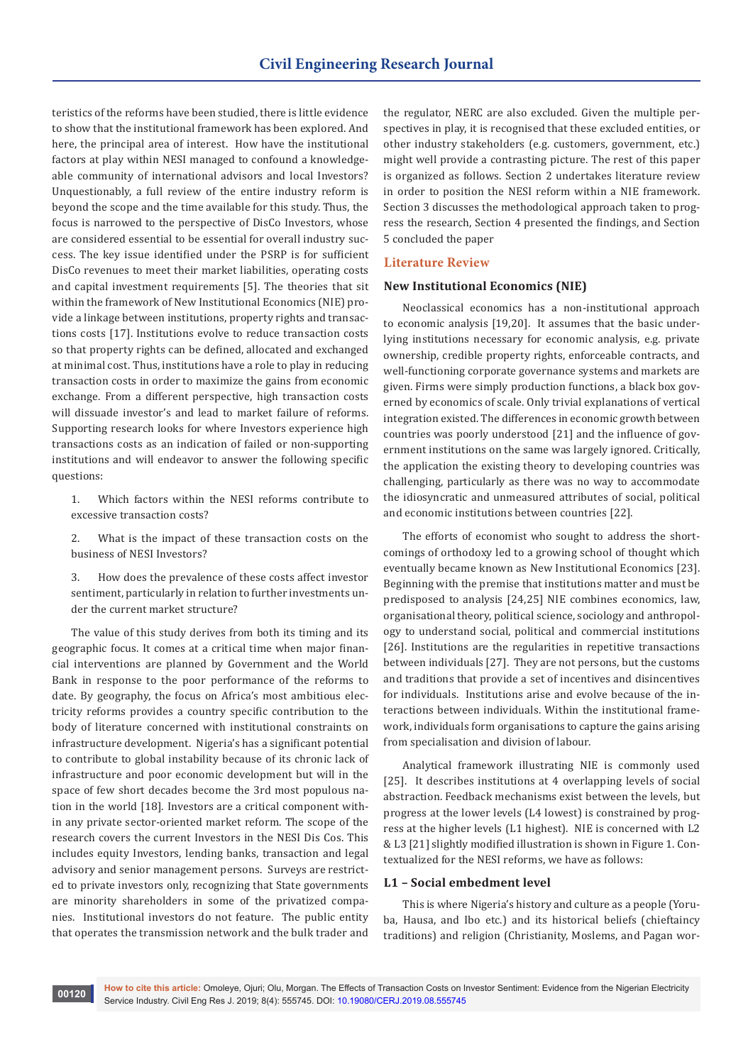teristics of the reforms have been studied, there is little evidence to show that the institutional framework has been explored. And here, the principal area of interest. How have the institutional factors at play within NESI managed to confound a knowledgeable community of international advisors and local Investors? Unquestionably, a full review of the entire industry reform is beyond the scope and the time available for this study. Thus, the focus is narrowed to the perspective of DisCo Investors, whose are considered essential to be essential for overall industry success. The key issue identified under the PSRP is for sufficient DisCo revenues to meet their market liabilities, operating costs and capital investment requirements [5]. The theories that sit within the framework of New Institutional Economics (NIE) provide a linkage between institutions, property rights and transactions costs [17]. Institutions evolve to reduce transaction costs so that property rights can be defined, allocated and exchanged at minimal cost. Thus, institutions have a role to play in reducing transaction costs in order to maximize the gains from economic exchange. From a different perspective, high transaction costs will dissuade investor's and lead to market failure of reforms. Supporting research looks for where Investors experience high transactions costs as an indication of failed or non-supporting institutions and will endeavor to answer the following specific questions:

- 1. Which factors within the NESI reforms contribute to excessive transaction costs?
- 2. What is the impact of these transaction costs on the business of NESI Investors?
- 3. How does the prevalence of these costs affect investor sentiment, particularly in relation to further investments under the current market structure?

The value of this study derives from both its timing and its geographic focus. It comes at a critical time when major financial interventions are planned by Government and the World Bank in response to the poor performance of the reforms to date. By geography, the focus on Africa's most ambitious electricity reforms provides a country specific contribution to the body of literature concerned with institutional constraints on infrastructure development. Nigeria's has a significant potential to contribute to global instability because of its chronic lack of infrastructure and poor economic development but will in the space of few short decades become the 3rd most populous nation in the world [18]. Investors are a critical component within any private sector-oriented market reform. The scope of the research covers the current Investors in the NESI Dis Cos. This includes equity Investors, lending banks, transaction and legal advisory and senior management persons. Surveys are restricted to private investors only, recognizing that State governments are minority shareholders in some of the privatized companies. Institutional investors do not feature. The public entity that operates the transmission network and the bulk trader and

the regulator, NERC are also excluded. Given the multiple perspectives in play, it is recognised that these excluded entities, or other industry stakeholders (e.g. customers, government, etc.) might well provide a contrasting picture. The rest of this paper is organized as follows. Section 2 undertakes literature review in order to position the NESI reform within a NIE framework. Section 3 discusses the methodological approach taken to progress the research, Section 4 presented the findings, and Section 5 concluded the paper

## **Literature Review**

#### **New Institutional Economics (NIE)**

Neoclassical economics has a non-institutional approach to economic analysis [19,20]. It assumes that the basic underlying institutions necessary for economic analysis, e.g. private ownership, credible property rights, enforceable contracts, and well-functioning corporate governance systems and markets are given. Firms were simply production functions, a black box governed by economics of scale. Only trivial explanations of vertical integration existed. The differences in economic growth between countries was poorly understood [21] and the influence of government institutions on the same was largely ignored. Critically, the application the existing theory to developing countries was challenging, particularly as there was no way to accommodate the idiosyncratic and unmeasured attributes of social, political and economic institutions between countries [22].

The efforts of economist who sought to address the shortcomings of orthodoxy led to a growing school of thought which eventually became known as New Institutional Economics [23]. Beginning with the premise that institutions matter and must be predisposed to analysis [24,25] NIE combines economics, law, organisational theory, political science, sociology and anthropology to understand social, political and commercial institutions [26]. Institutions are the regularities in repetitive transactions between individuals [27]. They are not persons, but the customs and traditions that provide a set of incentives and disincentives for individuals. Institutions arise and evolve because of the interactions between individuals. Within the institutional framework, individuals form organisations to capture the gains arising from specialisation and division of labour.

Analytical framework illustrating NIE is commonly used [25]. It describes institutions at 4 overlapping levels of social abstraction. Feedback mechanisms exist between the levels, but progress at the lower levels (L4 lowest) is constrained by progress at the higher levels (L1 highest). NIE is concerned with L2 & L3 [21] slightly modified illustration is shown in Figure 1. Contextualized for the NESI reforms, we have as follows:

#### **L1 – Social embedment level**

This is where Nigeria's history and culture as a people (Yoruba, Hausa, and Ibo etc.) and its historical beliefs (chieftaincy traditions) and religion (Christianity, Moslems, and Pagan wor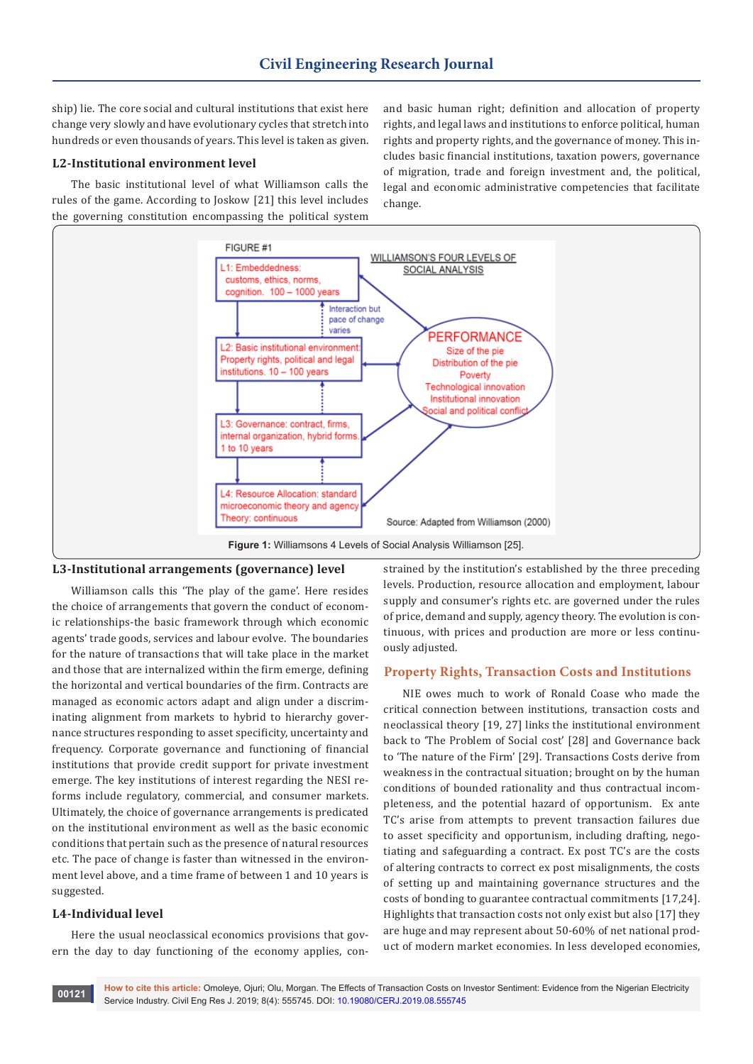ship) lie. The core social and cultural institutions that exist here change very slowly and have evolutionary cycles that stretch into hundreds or even thousands of years. This level is taken as given.

## **L2-Institutional environment level**

The basic institutional level of what Williamson calls the rules of the game. According to Joskow [21] this level includes the governing constitution encompassing the political system

and basic human right; definition and allocation of property rights, and legal laws and institutions to enforce political, human rights and property rights, and the governance of money. This includes basic financial institutions, taxation powers, governance of migration, trade and foreign investment and, the political, legal and economic administrative competencies that facilitate change.





Williamson calls this 'The play of the game'. Here resides the choice of arrangements that govern the conduct of economic relationships-the basic framework through which economic agents' trade goods, services and labour evolve. The boundaries for the nature of transactions that will take place in the market and those that are internalized within the firm emerge, defining the horizontal and vertical boundaries of the firm. Contracts are managed as economic actors adapt and align under a discriminating alignment from markets to hybrid to hierarchy governance structures responding to asset specificity, uncertainty and frequency. Corporate governance and functioning of financial institutions that provide credit support for private investment emerge. The key institutions of interest regarding the NESI reforms include regulatory, commercial, and consumer markets. Ultimately, the choice of governance arrangements is predicated on the institutional environment as well as the basic economic conditions that pertain such as the presence of natural resources etc. The pace of change is faster than witnessed in the environment level above, and a time frame of between 1 and 10 years is suggested.

## **L4-Individual level**

Here the usual neoclassical economics provisions that govern the day to day functioning of the economy applies, constrained by the institution's established by the three preceding levels. Production, resource allocation and employment, labour supply and consumer's rights etc. are governed under the rules of price, demand and supply, agency theory. The evolution is continuous, with prices and production are more or less continuously adjusted.

## **Property Rights, Transaction Costs and Institutions**

NIE owes much to work of Ronald Coase who made the critical connection between institutions, transaction costs and neoclassical theory [19, 27] links the institutional environment back to 'The Problem of Social cost' [28] and Governance back to 'The nature of the Firm' [29]. Transactions Costs derive from weakness in the contractual situation; brought on by the human conditions of bounded rationality and thus contractual incompleteness, and the potential hazard of opportunism. Ex ante TC's arise from attempts to prevent transaction failures due to asset specificity and opportunism, including drafting, negotiating and safeguarding a contract. Ex post TC's are the costs of altering contracts to correct ex post misalignments, the costs of setting up and maintaining governance structures and the costs of bonding to guarantee contractual commitments [17,24]. Highlights that transaction costs not only exist but also [17] they are huge and may represent about 50-60% of net national product of modern market economies. In less developed economies,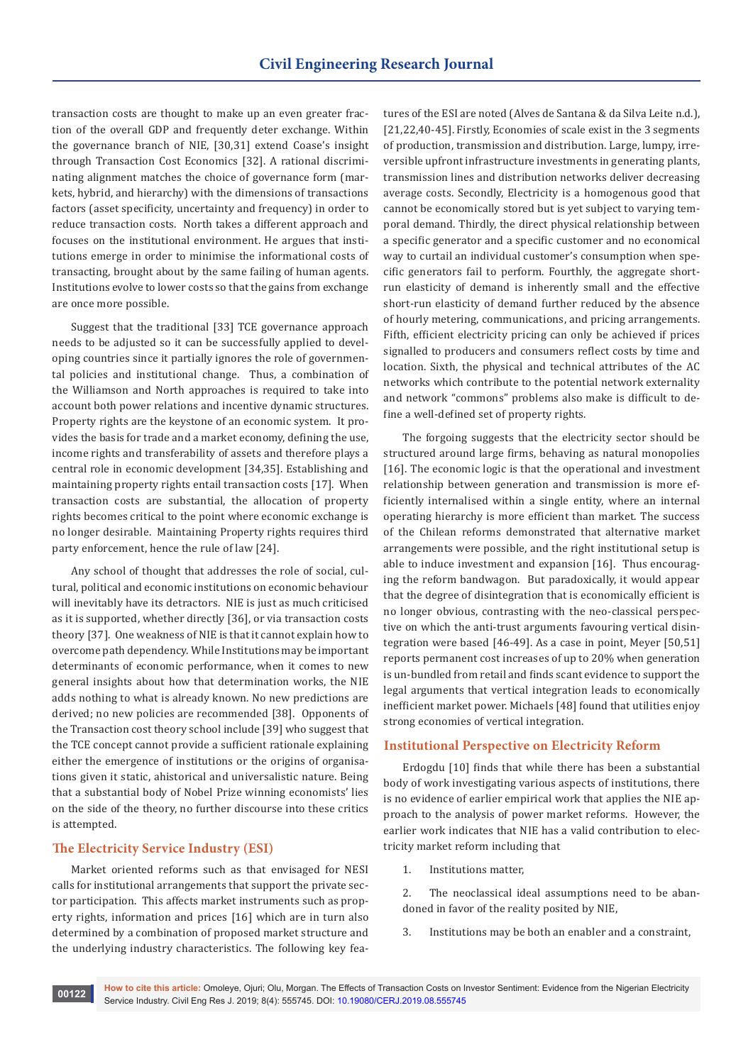transaction costs are thought to make up an even greater fraction of the overall GDP and frequently deter exchange. Within the governance branch of NIE, [30,31] extend Coase's insight through Transaction Cost Economics [32]. A rational discriminating alignment matches the choice of governance form (markets, hybrid, and hierarchy) with the dimensions of transactions factors (asset specificity, uncertainty and frequency) in order to reduce transaction costs. North takes a different approach and focuses on the institutional environment. He argues that institutions emerge in order to minimise the informational costs of transacting, brought about by the same failing of human agents. Institutions evolve to lower costs so that the gains from exchange are once more possible.

Suggest that the traditional [33] TCE governance approach needs to be adjusted so it can be successfully applied to developing countries since it partially ignores the role of governmental policies and institutional change. Thus, a combination of the Williamson and North approaches is required to take into account both power relations and incentive dynamic structures. Property rights are the keystone of an economic system. It provides the basis for trade and a market economy, defining the use, income rights and transferability of assets and therefore plays a central role in economic development [34,35]. Establishing and maintaining property rights entail transaction costs [17]. When transaction costs are substantial, the allocation of property rights becomes critical to the point where economic exchange is no longer desirable. Maintaining Property rights requires third party enforcement, hence the rule of law [24].

Any school of thought that addresses the role of social, cultural, political and economic institutions on economic behaviour will inevitably have its detractors. NIE is just as much criticised as it is supported, whether directly [36], or via transaction costs theory [37]. One weakness of NIE is that it cannot explain how to overcome path dependency. While Institutions may be important determinants of economic performance, when it comes to new general insights about how that determination works, the NIE adds nothing to what is already known. No new predictions are derived; no new policies are recommended [38]. Opponents of the Transaction cost theory school include [39] who suggest that the TCE concept cannot provide a sufficient rationale explaining either the emergence of institutions or the origins of organisations given it static, ahistorical and universalistic nature. Being that a substantial body of Nobel Prize winning economists' lies on the side of the theory, no further discourse into these critics is attempted.

# **The Electricity Service Industry (ESI)**

Market oriented reforms such as that envisaged for NESI calls for institutional arrangements that support the private sector participation. This affects market instruments such as property rights, information and prices [16] which are in turn also determined by a combination of proposed market structure and the underlying industry characteristics. The following key features of the ESI are noted (Alves de Santana & da Silva Leite n.d.), [21,22,40-45]. Firstly, Economies of scale exist in the 3 segments of production, transmission and distribution. Large, lumpy, irreversible upfront infrastructure investments in generating plants, transmission lines and distribution networks deliver decreasing average costs. Secondly, Electricity is a homogenous good that cannot be economically stored but is yet subject to varying temporal demand. Thirdly, the direct physical relationship between a specific generator and a specific customer and no economical way to curtail an individual customer's consumption when specific generators fail to perform. Fourthly, the aggregate shortrun elasticity of demand is inherently small and the effective short-run elasticity of demand further reduced by the absence of hourly metering, communications, and pricing arrangements. Fifth, efficient electricity pricing can only be achieved if prices signalled to producers and consumers reflect costs by time and location. Sixth, the physical and technical attributes of the AC networks which contribute to the potential network externality and network "commons" problems also make is difficult to define a well-defined set of property rights.

The forgoing suggests that the electricity sector should be structured around large firms, behaving as natural monopolies [16]. The economic logic is that the operational and investment relationship between generation and transmission is more efficiently internalised within a single entity, where an internal operating hierarchy is more efficient than market. The success of the Chilean reforms demonstrated that alternative market arrangements were possible, and the right institutional setup is able to induce investment and expansion [16]. Thus encouraging the reform bandwagon. But paradoxically, it would appear that the degree of disintegration that is economically efficient is no longer obvious, contrasting with the neo-classical perspective on which the anti-trust arguments favouring vertical disintegration were based [46-49]. As a case in point, Meyer [50,51] reports permanent cost increases of up to 20% when generation is un-bundled from retail and finds scant evidence to support the legal arguments that vertical integration leads to economically inefficient market power. Michaels [48] found that utilities enjoy strong economies of vertical integration.

#### **Institutional Perspective on Electricity Reform**

Erdogdu [10] finds that while there has been a substantial body of work investigating various aspects of institutions, there is no evidence of earlier empirical work that applies the NIE approach to the analysis of power market reforms. However, the earlier work indicates that NIE has a valid contribution to electricity market reform including that

1. Institutions matter,

2. The neoclassical ideal assumptions need to be abandoned in favor of the reality posited by NIE,

3. Institutions may be both an enabler and a constraint,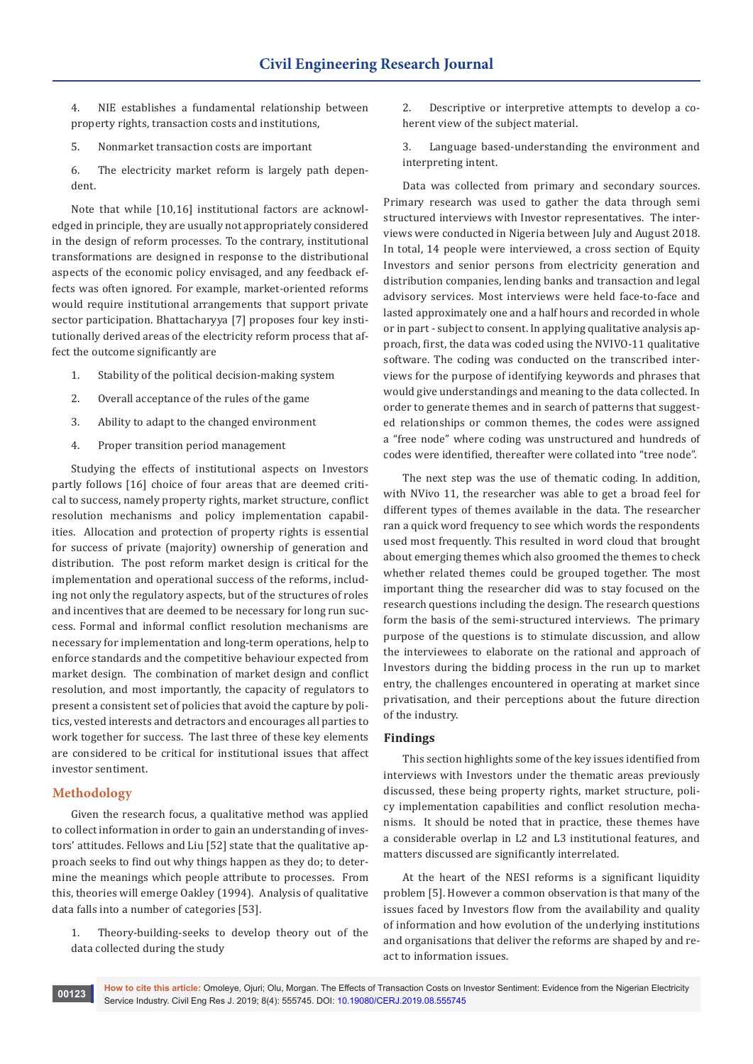4. NIE establishes a fundamental relationship between property rights, transaction costs and institutions,

- 5. Nonmarket transaction costs are important
- 6. The electricity market reform is largely path dependent.

Note that while [10,16] institutional factors are acknowledged in principle, they are usually not appropriately considered in the design of reform processes. To the contrary, institutional transformations are designed in response to the distributional aspects of the economic policy envisaged, and any feedback effects was often ignored. For example, market-oriented reforms would require institutional arrangements that support private sector participation. Bhattacharyya [7] proposes four key institutionally derived areas of the electricity reform process that affect the outcome significantly are

- 1. Stability of the political decision-making system
- 2. Overall acceptance of the rules of the game
- 3. Ability to adapt to the changed environment
- 4. Proper transition period management

Studying the effects of institutional aspects on Investors partly follows [16] choice of four areas that are deemed critical to success, namely property rights, market structure, conflict resolution mechanisms and policy implementation capabilities. Allocation and protection of property rights is essential for success of private (majority) ownership of generation and distribution. The post reform market design is critical for the implementation and operational success of the reforms, including not only the regulatory aspects, but of the structures of roles and incentives that are deemed to be necessary for long run success. Formal and informal conflict resolution mechanisms are necessary for implementation and long-term operations, help to enforce standards and the competitive behaviour expected from market design. The combination of market design and conflict resolution, and most importantly, the capacity of regulators to present a consistent set of policies that avoid the capture by politics, vested interests and detractors and encourages all parties to work together for success. The last three of these key elements are considered to be critical for institutional issues that affect investor sentiment.

## **Methodology**

Given the research focus, a qualitative method was applied to collect information in order to gain an understanding of investors' attitudes. Fellows and Liu [52] state that the qualitative approach seeks to find out why things happen as they do; to determine the meanings which people attribute to processes. From this, theories will emerge Oakley (1994). Analysis of qualitative data falls into a number of categories [53].

1. Theory-building-seeks to develop theory out of the data collected during the study

2. Descriptive or interpretive attempts to develop a coherent view of the subject material.

3. Language based-understanding the environment and interpreting intent.

Data was collected from primary and secondary sources. Primary research was used to gather the data through semi structured interviews with Investor representatives. The interviews were conducted in Nigeria between July and August 2018. In total, 14 people were interviewed, a cross section of Equity Investors and senior persons from electricity generation and distribution companies, lending banks and transaction and legal advisory services. Most interviews were held face-to-face and lasted approximately one and a half hours and recorded in whole or in part - subject to consent. In applying qualitative analysis approach, first, the data was coded using the NVIVO-11 qualitative software. The coding was conducted on the transcribed interviews for the purpose of identifying keywords and phrases that would give understandings and meaning to the data collected. In order to generate themes and in search of patterns that suggested relationships or common themes, the codes were assigned a "free node" where coding was unstructured and hundreds of codes were identified, thereafter were collated into "tree node".

The next step was the use of thematic coding. In addition, with NVivo 11, the researcher was able to get a broad feel for different types of themes available in the data. The researcher ran a quick word frequency to see which words the respondents used most frequently. This resulted in word cloud that brought about emerging themes which also groomed the themes to check whether related themes could be grouped together. The most important thing the researcher did was to stay focused on the research questions including the design. The research questions form the basis of the semi-structured interviews. The primary purpose of the questions is to stimulate discussion, and allow the interviewees to elaborate on the rational and approach of Investors during the bidding process in the run up to market entry, the challenges encountered in operating at market since privatisation, and their perceptions about the future direction of the industry.

## **Findings**

This section highlights some of the key issues identified from interviews with Investors under the thematic areas previously discussed, these being property rights, market structure, policy implementation capabilities and conflict resolution mechanisms. It should be noted that in practice, these themes have a considerable overlap in L2 and L3 institutional features, and matters discussed are significantly interrelated.

At the heart of the NESI reforms is a significant liquidity problem [5]. However a common observation is that many of the issues faced by Investors flow from the availability and quality of information and how evolution of the underlying institutions and organisations that deliver the reforms are shaped by and react to information issues.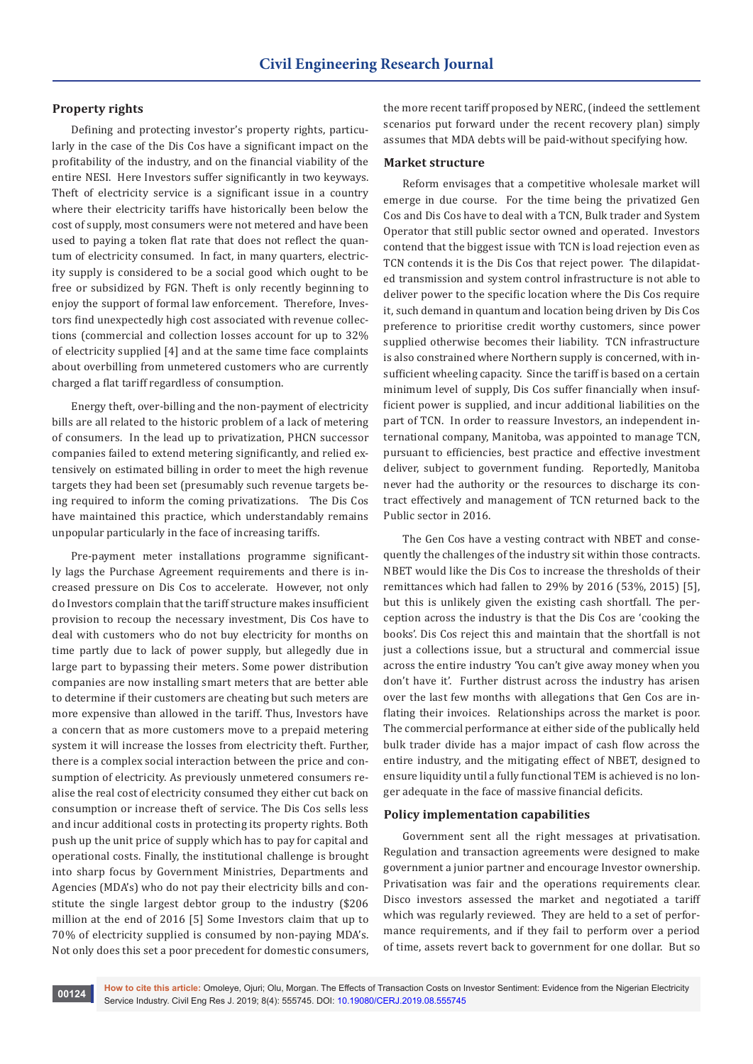## **Property rights**

Defining and protecting investor's property rights, particularly in the case of the Dis Cos have a significant impact on the profitability of the industry, and on the financial viability of the entire NESI. Here Investors suffer significantly in two keyways. Theft of electricity service is a significant issue in a country where their electricity tariffs have historically been below the cost of supply, most consumers were not metered and have been used to paying a token flat rate that does not reflect the quantum of electricity consumed. In fact, in many quarters, electricity supply is considered to be a social good which ought to be free or subsidized by FGN. Theft is only recently beginning to enjoy the support of formal law enforcement. Therefore, Investors find unexpectedly high cost associated with revenue collections (commercial and collection losses account for up to 32% of electricity supplied [4] and at the same time face complaints about overbilling from unmetered customers who are currently charged a flat tariff regardless of consumption.

Energy theft, over-billing and the non-payment of electricity bills are all related to the historic problem of a lack of metering of consumers. In the lead up to privatization, PHCN successor companies failed to extend metering significantly, and relied extensively on estimated billing in order to meet the high revenue targets they had been set (presumably such revenue targets being required to inform the coming privatizations. The Dis Cos have maintained this practice, which understandably remains unpopular particularly in the face of increasing tariffs.

Pre-payment meter installations programme significantly lags the Purchase Agreement requirements and there is increased pressure on Dis Cos to accelerate. However, not only do Investors complain that the tariff structure makes insufficient provision to recoup the necessary investment, Dis Cos have to deal with customers who do not buy electricity for months on time partly due to lack of power supply, but allegedly due in large part to bypassing their meters. Some power distribution companies are now installing smart meters that are better able to determine if their customers are cheating but such meters are more expensive than allowed in the tariff. Thus, Investors have a concern that as more customers move to a prepaid metering system it will increase the losses from electricity theft. Further, there is a complex social interaction between the price and consumption of electricity. As previously unmetered consumers realise the real cost of electricity consumed they either cut back on consumption or increase theft of service. The Dis Cos sells less and incur additional costs in protecting its property rights. Both push up the unit price of supply which has to pay for capital and operational costs. Finally, the institutional challenge is brought into sharp focus by Government Ministries, Departments and Agencies (MDA's) who do not pay their electricity bills and constitute the single largest debtor group to the industry (\$206 million at the end of 2016 [5] Some Investors claim that up to 70% of electricity supplied is consumed by non-paying MDA's. Not only does this set a poor precedent for domestic consumers,

the more recent tariff proposed by NERC, (indeed the settlement scenarios put forward under the recent recovery plan) simply assumes that MDA debts will be paid-without specifying how.

#### **Market structure**

Reform envisages that a competitive wholesale market will emerge in due course. For the time being the privatized Gen Cos and Dis Cos have to deal with a TCN, Bulk trader and System Operator that still public sector owned and operated. Investors contend that the biggest issue with TCN is load rejection even as TCN contends it is the Dis Cos that reject power. The dilapidated transmission and system control infrastructure is not able to deliver power to the specific location where the Dis Cos require it, such demand in quantum and location being driven by Dis Cos preference to prioritise credit worthy customers, since power supplied otherwise becomes their liability. TCN infrastructure is also constrained where Northern supply is concerned, with insufficient wheeling capacity. Since the tariff is based on a certain minimum level of supply, Dis Cos suffer financially when insufficient power is supplied, and incur additional liabilities on the part of TCN. In order to reassure Investors, an independent international company, Manitoba, was appointed to manage TCN, pursuant to efficiencies, best practice and effective investment deliver, subject to government funding. Reportedly, Manitoba never had the authority or the resources to discharge its contract effectively and management of TCN returned back to the Public sector in 2016.

The Gen Cos have a vesting contract with NBET and consequently the challenges of the industry sit within those contracts. NBET would like the Dis Cos to increase the thresholds of their remittances which had fallen to 29% by 2016 (53%, 2015) [5], but this is unlikely given the existing cash shortfall. The perception across the industry is that the Dis Cos are 'cooking the books'. Dis Cos reject this and maintain that the shortfall is not just a collections issue, but a structural and commercial issue across the entire industry 'You can't give away money when you don't have it'. Further distrust across the industry has arisen over the last few months with allegations that Gen Cos are inflating their invoices. Relationships across the market is poor. The commercial performance at either side of the publically held bulk trader divide has a major impact of cash flow across the entire industry, and the mitigating effect of NBET, designed to ensure liquidity until a fully functional TEM is achieved is no longer adequate in the face of massive financial deficits.

#### **Policy implementation capabilities**

Government sent all the right messages at privatisation. Regulation and transaction agreements were designed to make government a junior partner and encourage Investor ownership. Privatisation was fair and the operations requirements clear. Disco investors assessed the market and negotiated a tariff which was regularly reviewed. They are held to a set of performance requirements, and if they fail to perform over a period of time, assets revert back to government for one dollar. But so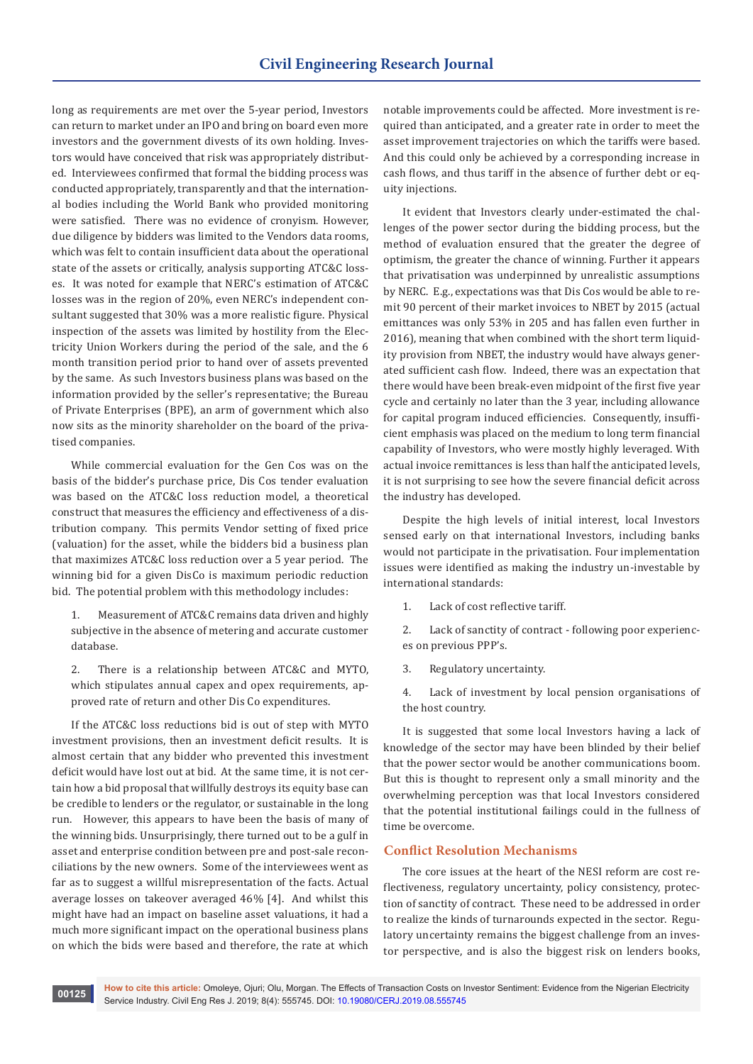long as requirements are met over the 5-year period, Investors can return to market under an IPO and bring on board even more investors and the government divests of its own holding. Investors would have conceived that risk was appropriately distributed. Interviewees confirmed that formal the bidding process was conducted appropriately, transparently and that the international bodies including the World Bank who provided monitoring were satisfied. There was no evidence of cronyism. However, due diligence by bidders was limited to the Vendors data rooms, which was felt to contain insufficient data about the operational state of the assets or critically, analysis supporting ATC&C losses. It was noted for example that NERC's estimation of ATC&C losses was in the region of 20%, even NERC's independent consultant suggested that 30% was a more realistic figure. Physical inspection of the assets was limited by hostility from the Electricity Union Workers during the period of the sale, and the 6 month transition period prior to hand over of assets prevented by the same. As such Investors business plans was based on the information provided by the seller's representative; the Bureau of Private Enterprises (BPE), an arm of government which also now sits as the minority shareholder on the board of the privatised companies.

While commercial evaluation for the Gen Cos was on the basis of the bidder's purchase price, Dis Cos tender evaluation was based on the ATC&C loss reduction model, a theoretical construct that measures the efficiency and effectiveness of a distribution company. This permits Vendor setting of fixed price (valuation) for the asset, while the bidders bid a business plan that maximizes ATC&C loss reduction over a 5 year period. The winning bid for a given DisCo is maximum periodic reduction bid. The potential problem with this methodology includes:

1. Measurement of ATC&C remains data driven and highly subjective in the absence of metering and accurate customer database.

2. There is a relationship between ATC&C and MYTO, which stipulates annual capex and opex requirements, approved rate of return and other Dis Co expenditures.

If the ATC&C loss reductions bid is out of step with MYTO investment provisions, then an investment deficit results. It is almost certain that any bidder who prevented this investment deficit would have lost out at bid. At the same time, it is not certain how a bid proposal that willfully destroys its equity base can be credible to lenders or the regulator, or sustainable in the long run. However, this appears to have been the basis of many of the winning bids. Unsurprisingly, there turned out to be a gulf in asset and enterprise condition between pre and post-sale reconciliations by the new owners. Some of the interviewees went as far as to suggest a willful misrepresentation of the facts. Actual average losses on takeover averaged 46% [4]. And whilst this might have had an impact on baseline asset valuations, it had a much more significant impact on the operational business plans on which the bids were based and therefore, the rate at which

notable improvements could be affected. More investment is required than anticipated, and a greater rate in order to meet the asset improvement trajectories on which the tariffs were based. And this could only be achieved by a corresponding increase in cash flows, and thus tariff in the absence of further debt or equity injections.

It evident that Investors clearly under-estimated the challenges of the power sector during the bidding process, but the method of evaluation ensured that the greater the degree of optimism, the greater the chance of winning. Further it appears that privatisation was underpinned by unrealistic assumptions by NERC. E.g., expectations was that Dis Cos would be able to remit 90 percent of their market invoices to NBET by 2015 (actual emittances was only 53% in 205 and has fallen even further in 2016), meaning that when combined with the short term liquidity provision from NBET, the industry would have always generated sufficient cash flow. Indeed, there was an expectation that there would have been break-even midpoint of the first five year cycle and certainly no later than the 3 year, including allowance for capital program induced efficiencies. Consequently, insufficient emphasis was placed on the medium to long term financial capability of Investors, who were mostly highly leveraged. With actual invoice remittances is less than half the anticipated levels, it is not surprising to see how the severe financial deficit across the industry has developed.

Despite the high levels of initial interest, local Investors sensed early on that international Investors, including banks would not participate in the privatisation. Four implementation issues were identified as making the industry un-investable by international standards:

1. Lack of cost reflective tariff.

2. Lack of sanctity of contract - following poor experiences on previous PPP's.

3. Regulatory uncertainty.

4. Lack of investment by local pension organisations of the host country.

It is suggested that some local Investors having a lack of knowledge of the sector may have been blinded by their belief that the power sector would be another communications boom. But this is thought to represent only a small minority and the overwhelming perception was that local Investors considered that the potential institutional failings could in the fullness of time be overcome.

## **Conflict Resolution Mechanisms**

The core issues at the heart of the NESI reform are cost reflectiveness, regulatory uncertainty, policy consistency, protection of sanctity of contract. These need to be addressed in order to realize the kinds of turnarounds expected in the sector. Regulatory uncertainty remains the biggest challenge from an investor perspective, and is also the biggest risk on lenders books,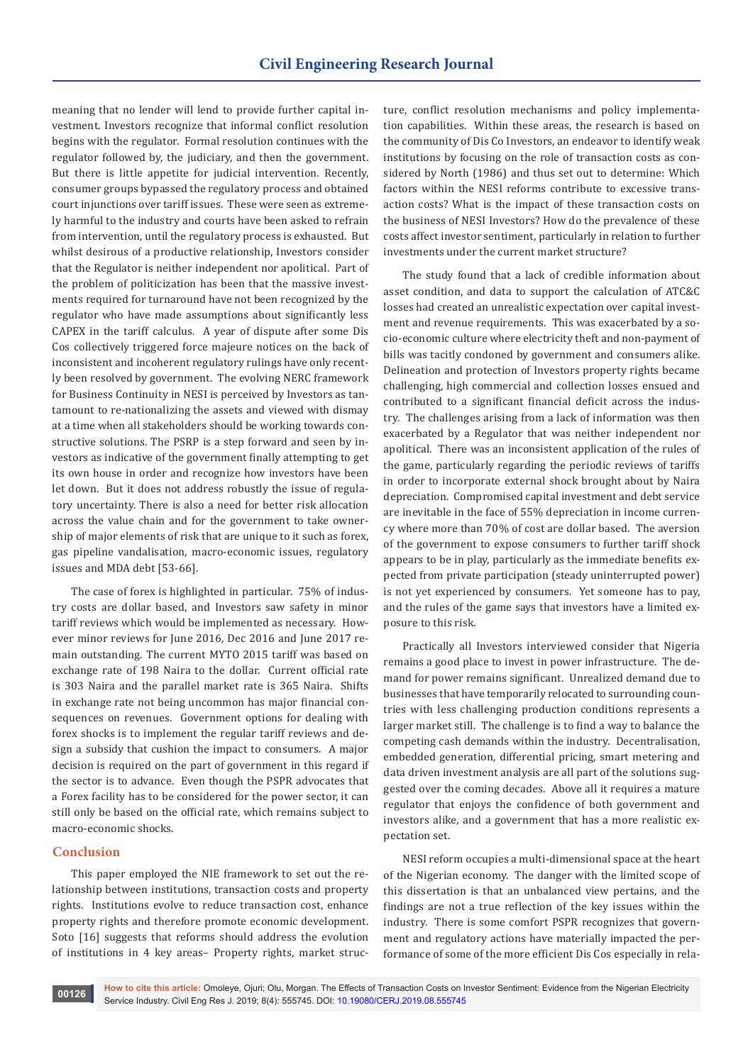meaning that no lender will lend to provide further capital investment. Investors recognize that informal conflict resolution begins with the regulator. Formal resolution continues with the regulator followed by, the judiciary, and then the government. But there is little appetite for judicial intervention. Recently, consumer groups bypassed the regulatory process and obtained court injunctions over tariff issues. These were seen as extremely harmful to the industry and courts have been asked to refrain from intervention, until the regulatory process is exhausted. But whilst desirous of a productive relationship, Investors consider that the Regulator is neither independent nor apolitical. Part of the problem of politicization has been that the massive investments required for turnaround have not been recognized by the regulator who have made assumptions about significantly less CAPEX in the tariff calculus. A year of dispute after some Dis Cos collectively triggered force majeure notices on the back of inconsistent and incoherent regulatory rulings have only recently been resolved by government. The evolving NERC framework for Business Continuity in NESI is perceived by Investors as tantamount to re-nationalizing the assets and viewed with dismay at a time when all stakeholders should be working towards constructive solutions. The PSRP is a step forward and seen by investors as indicative of the government finally attempting to get its own house in order and recognize how investors have been let down. But it does not address robustly the issue of regulatory uncertainty. There is also a need for better risk allocation across the value chain and for the government to take ownership of major elements of risk that are unique to it such as forex, gas pipeline vandalisation, macro-economic issues, regulatory issues and MDA debt [53-66].

The case of forex is highlighted in particular. 75% of industry costs are dollar based, and Investors saw safety in minor tariff reviews which would be implemented as necessary. However minor reviews for June 2016, Dec 2016 and June 2017 remain outstanding. The current MYTO 2015 tariff was based on exchange rate of 198 Naira to the dollar. Current official rate is 303 Naira and the parallel market rate is 365 Naira. Shifts in exchange rate not being uncommon has major financial consequences on revenues. Government options for dealing with forex shocks is to implement the regular tariff reviews and design a subsidy that cushion the impact to consumers. A major decision is required on the part of government in this regard if the sector is to advance. Even though the PSPR advocates that a Forex facility has to be considered for the power sector, it can still only be based on the official rate, which remains subject to macro-economic shocks.

## **Conclusion**

This paper employed the NIE framework to set out the relationship between institutions, transaction costs and property rights. Institutions evolve to reduce transaction cost, enhance property rights and therefore promote economic development. Soto [16] suggests that reforms should address the evolution of institutions in 4 key areas– Property rights, market structure, conflict resolution mechanisms and policy implementation capabilities. Within these areas, the research is based on the community of Dis Co Investors, an endeavor to identify weak institutions by focusing on the role of transaction costs as considered by North (1986) and thus set out to determine: Which factors within the NESI reforms contribute to excessive transaction costs? What is the impact of these transaction costs on the business of NESI Investors? How do the prevalence of these costs affect investor sentiment, particularly in relation to further investments under the current market structure?

The study found that a lack of credible information about asset condition, and data to support the calculation of ATC&C losses had created an unrealistic expectation over capital investment and revenue requirements. This was exacerbated by a socio-economic culture where electricity theft and non-payment of bills was tacitly condoned by government and consumers alike. Delineation and protection of Investors property rights became challenging, high commercial and collection losses ensued and contributed to a significant financial deficit across the industry. The challenges arising from a lack of information was then exacerbated by a Regulator that was neither independent nor apolitical. There was an inconsistent application of the rules of the game, particularly regarding the periodic reviews of tariffs in order to incorporate external shock brought about by Naira depreciation. Compromised capital investment and debt service are inevitable in the face of 55% depreciation in income currency where more than 70% of cost are dollar based. The aversion of the government to expose consumers to further tariff shock appears to be in play, particularly as the immediate benefits expected from private participation (steady uninterrupted power) is not yet experienced by consumers. Yet someone has to pay, and the rules of the game says that investors have a limited exposure to this risk.

Practically all Investors interviewed consider that Nigeria remains a good place to invest in power infrastructure. The demand for power remains significant. Unrealized demand due to businesses that have temporarily relocated to surrounding countries with less challenging production conditions represents a larger market still. The challenge is to find a way to balance the competing cash demands within the industry. Decentralisation, embedded generation, differential pricing, smart metering and data driven investment analysis are all part of the solutions suggested over the coming decades. Above all it requires a mature regulator that enjoys the confidence of both government and investors alike, and a government that has a more realistic expectation set.

NESI reform occupies a multi-dimensional space at the heart of the Nigerian economy. The danger with the limited scope of this dissertation is that an unbalanced view pertains, and the findings are not a true reflection of the key issues within the industry. There is some comfort PSPR recognizes that government and regulatory actions have materially impacted the performance of some of the more efficient Dis Cos especially in rela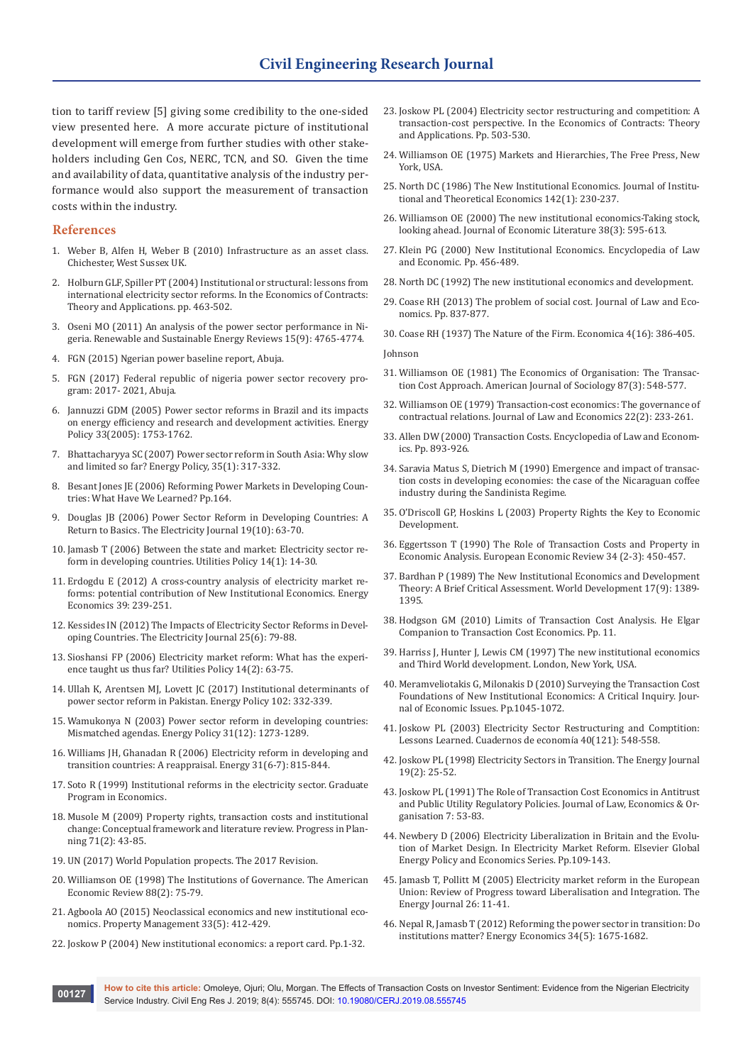tion to tariff review [5] giving some credibility to the one-sided view presented here. A more accurate picture of institutional development will emerge from further studies with other stakeholders including Gen Cos, NERC, TCN, and SO. Given the time and availability of data, quantitative analysis of the industry performance would also support the measurement of transaction costs within the industry.

#### **References**

- 1. Weber B, Alfen H, Weber B (2010) Infrastructure as an asset class. Chichester, West Sussex UK.
- 2. Holburn GLF, Spiller PT (2004) Institutional or structural: lessons from international electricity sector reforms. In the Economics of Contracts: Theory and Applications. pp. 463-502.
- 3. [Oseni MO \(2011\) An analysis of the power sector performance in Ni](https://app.dimensions.ai/details/publication/pub.1008116569?and_facet_journal=jour.1122871)[geria. Renewable and Sustainable Energy Reviews 15\(9\): 4765-4774.](https://app.dimensions.ai/details/publication/pub.1008116569?and_facet_journal=jour.1122871)
- 4. FGN (2015) Ngerian power baseline report, Abuja.
- 5. FGN (2017) Federal republic of nigeria power sector recovery program: 2017- 2021, Abuja.
- 6. [Jannuzzi GDM \(2005\) Power sector reforms in Brazil and its impacts](http://citeseerx.ist.psu.edu/viewdoc/download?doi=10.1.1.537.8403&rep=rep1&type=pdf)  [on energy efficiency and research and development activities. Energy](http://citeseerx.ist.psu.edu/viewdoc/download?doi=10.1.1.537.8403&rep=rep1&type=pdf)  [Policy 33\(2005\): 1753-1762.](http://citeseerx.ist.psu.edu/viewdoc/download?doi=10.1.1.537.8403&rep=rep1&type=pdf)
- 7. Bhattacharyya SC (2007) Power sector reform in South Asia: Why slow and limited so far? Energy Policy, 35(1): 317-332.
- 8. Besant Jones JE (2006) Reforming Power Markets in Developing Countries: What Have We Learned? Pp.164.
- 9. Douglas JB (2006) Power Sector Reform in Developing Countries: A Return to Basics. The Electricity Journal 19(10): 63-70.
- 10. [Jamasb T \(2006\) Between the state and market: Electricity sector re](https://ideas.repec.org/a/eee/juipol/v14y2006i1p14-30.html)[form in developing countries. Utilities Policy 14\(1\): 14-30.](https://ideas.repec.org/a/eee/juipol/v14y2006i1p14-30.html)
- 11. [Erdogdu E \(2012\) A cross-country analysis of electricity market re](https://www.sciencedirect.com/science/article/pii/S014098831300100X)[forms: potential contribution of New Institutional Economics.](https://www.sciencedirect.com/science/article/pii/S014098831300100X) Energy [Economics 39: 239-251.](https://www.sciencedirect.com/science/article/pii/S014098831300100X)
- 12. [Kessides IN \(2012\) The Impacts of Electricity Sector Reforms in Devel](https://www.sciencedirect.com/science/article/pii/S1040619012001753)[oping Countries. The Electricity Journal 25\(6\): 79-88.](https://www.sciencedirect.com/science/article/pii/S1040619012001753)
- 13. [Sioshansi FP \(2006\) Electricity market reform: What has the experi](https://www.sciencedirect.com/science/article/pii/S0957178705000597)[ence taught us thus far? Utilities Policy 14\(2\): 63-75.](https://www.sciencedirect.com/science/article/pii/S0957178705000597)
- 14. [Ullah K, Arentsen MJ, Lovett JC \(2017\) Institutional determinants of](https://www.sciencedirect.com/science/article/pii/S0301421516306814)  [power sector reform in Pakistan. Energy Policy 102: 332-339.](https://www.sciencedirect.com/science/article/pii/S0301421516306814)
- 15. [Wamukonya N \(2003\) Power sector reform in developing countries:](https://scinapse.io/papers/1979836033)  [Mismatched agendas. Energy Policy 31\(12\): 1273-1289.](https://scinapse.io/papers/1979836033)
- 16. [Williams JH, Ghanadan R \(2006\) Electricity reform in developing and](https://www.sciencedirect.com/science/article/abs/pii/S0360544205000423)  [transition countries: A reappraisal. Energy 31\(6-7\): 815-844.](https://www.sciencedirect.com/science/article/abs/pii/S0360544205000423)
- 17. Soto R (1999) Institutional reforms in the electricity sector. Graduate Program in Economics.
- 18. [Musole M \(2009\) Property rights, transaction costs and institutional](https://www.sciencedirect.com/science/article/pii/S0305900608000731)  [change: Conceptual framework and literature review. Progress in Plan](https://www.sciencedirect.com/science/article/pii/S0305900608000731)[ning 71\(2\): 43-85.](https://www.sciencedirect.com/science/article/pii/S0305900608000731)
- 19. UN (2017) World Population propects. The 2017 Revision.
- 20. Williamson OE (1998) The Institutions of Governance. The American Economic Review 88(2): 75-79.
- 21. [Agboola AO \(2015\) Neoclassical economics and new institutional eco](https://www.emerald.com/insight/content/doi/10.1108/PM-12-2014-0055/full/html?fullSc=1)[nomics. Property Management 33\(5\): 412-429.](https://www.emerald.com/insight/content/doi/10.1108/PM-12-2014-0055/full/html?fullSc=1)
- 22. Joskow P (2004) New institutional economics: a report card. Pp.1-32.
- 23. Joskow PL (2004) Electricity sector restructuring and competition: A transaction-cost perspective. In the Economics of Contracts: Theory and Applications. Pp. 503-530.
- 24. Williamson OE (1975) Markets and Hierarchies, The Free Press, New York, USA.
- 25. North DC (1986) The New Institutional Economics. Journal of Institutional and Theoretical Economics 142(1): 230-237.
- 26. [Williamson OE \(2000\) The new institutional economics-Taking stock,](https://www.jstor.org/stable/2565421)  [looking ahead. Journal of Economic Literature 38\(3\): 595-613.](https://www.jstor.org/stable/2565421)
- 27. Klein PG (2000) New Institutional Economics. Encyclopedia of Law and Economic. Pp. 456-489.
- 28. North DC (1992) The new institutional economics and development.
- 29. Coase RH (2013) The problem of social cost. Journal of Law and Economics. Pp. 837-877.
- 30. Coase RH (1937) The Nature of the Firm. Economica 4(16): 386-405.

#### Johnson

- 31. [Williamson OE \(1981\) The Economics of Organisation: The Transac](https://www.jstor.org/stable/2778934)[tion Cost Approach. American Journal of Sociology 87\(3\): 548-577.](https://www.jstor.org/stable/2778934)
- 32. [Williamson OE \(1979\) Transaction-cost economics: The governance of](https://www.jstor.org/stable/725118)  [contractual relations. Journal of Law and Economics 22\(2\): 233-261.](https://www.jstor.org/stable/725118)
- 33. Allen DW (2000) Transaction Costs. Encyclopedia of Law and Economics. Pp. 893-926.
- 34. Saravia Matus S, Dietrich M (1990) Emergence and impact of transaction costs in developing economies: the case of the Nicaraguan coffee industry during the Sandinista Regime.
- 35. O'Driscoll GP, Hoskins L (2003) Property Rights the Key to Economic Development.
- 36. [Eggertsson T \(1990\) The Role of Transaction Costs and Property in](https://www.sciencedirect.com/science/article/pii/001429219090118I)  [Economic Analysis. European Economic Review 34 \(2-3\): 450-457.](https://www.sciencedirect.com/science/article/pii/001429219090118I)
- 37. [Bardhan P \(1989\) The New Institutional Economics and Development](https://www.sciencedirect.com/science/article/abs/pii/0305750X89900806)  [Theory: A Brief Critical Assessment. World Development 17\(9\): 1389-](https://www.sciencedirect.com/science/article/abs/pii/0305750X89900806) [1395.](https://www.sciencedirect.com/science/article/abs/pii/0305750X89900806)
- 38. Hodgson GM (2010) Limits of Transaction Cost Analysis. He Elgar Companion to Transaction Cost Economics. Pp. 11.
- 39. Harriss J, Hunter J, Lewis CM (1997) The new institutional economics and Third World development. London, New York, USA.
- 40. Meramveliotakis G, Milonakis D (2010) Surveying the Transaction Cost Foundations of New Institutional Economics: A Critical Inquiry. Journal of Economic Issues. Pp.1045-1072.
- 41. [Joskow PL \(2003\) Electricity Sector Restructuring and Comptition:](https://ideas.repec.org/a/ioe/cuadec/v40y2003i121p548-558.html)  [Lessons Learned. Cuadernos de econom](https://ideas.repec.org/a/ioe/cuadec/v40y2003i121p548-558.html)ía 40(121): 548-558.
- 42. Joskow PL (1998) Electricity Sectors in Transition. The Energy Journal 19(2): 25-52.
- 43. [Joskow PL \(1991\) The Role of Transaction Cost Economics in Antitrust](https://www.jstor.org/stable/764958)  [and Public Utility Regulatory Policies. Journal of Law, Economics & Or](https://www.jstor.org/stable/764958)[ganisation 7: 53-83.](https://www.jstor.org/stable/764958)
- 44. Newbery D (2006) Electricity Liberalization in Britain and the Evolution of Market Design. In Electricity Market Reform. Elsevier Global Energy Policy and Economics Series. Pp.109-143.
- 45. Jamasb T, Pollitt M (2005) Electricity market reform in the European Union: Review of Progress toward Liberalisation and Integration. The Energy Journal 26: 11-41.
- 46. Nepal R, Jamasb T (2012) Reforming the power sector in transition: Do institutions matter? Energy Economics 34(5): 1675-1682.

**How to cite this article:** Omoleye, Ojuri; Olu, Morgan. The Effects of Transaction Costs on Investor Sentiment: Evidence from the Nigerian Electricity **OO127 IDOW to the this article**. Onlineye, Ojuri, Old, Morgan. The Ellects of Hansaction Costs of 1<br>Service Industry. Civil Eng Res J. 2019; 8(4): 555745. DOI: [10.19080/CERJ.2019.08.555745](http://dx.doi.org/10.19080/CERJ.2019.08.555745)